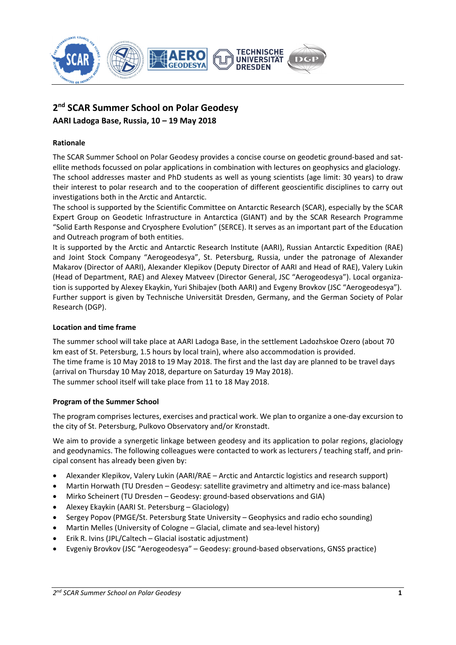

# **2nd SCAR Summer School on Polar Geodesy AARI Ladoga Base, Russia, 10 – 19 May 2018**

# **Rationale**

The SCAR Summer School on Polar Geodesy provides a concise course on geodetic ground‐based and sat‐ ellite methods focussed on polar applications in combination with lectures on geophysics and glaciology. The school addresses master and PhD students as well as young scientists (age limit: 30 years) to draw their interest to polar research and to the cooperation of different geoscientific disciplines to carry out investigations both in the Arctic and Antarctic.

The school is supported by the Scientific Committee on Antarctic Research (SCAR), especially by the SCAR Expert Group on Geodetic Infrastructure in Antarctica (GIANT) and by the SCAR Research Programme "Solid Earth Response and Cryosphere Evolution" (SERCE). It serves as an important part of the Education and Outreach program of both entities.

It is supported by the Arctic and Antarctic Research Institute (AARI), Russian Antarctic Expedition (RAE) and Joint Stock Company "Aerogeodesya", St. Petersburg, Russia, under the patronage of Alexander Makarov (Director of AARI), Alexander Klepikov (Deputy Director of AARI and Head of RAE), Valery Lukin (Head of Department, RAE) and Alexey Matveev (Director General, JSC "Aerogeodesya"). Local organiza‐ tion is supported by Alexey Ekaykin, Yuri Shibajev (both AARI) and Evgeny Brovkov (JSC "Aerogeodesya"). Further support is given by Technische Universität Dresden, Germany, and the German Society of Polar Research (DGP).

### **Location and time frame**

The summer school will take place at AARI Ladoga Base, in the settlement Ladozhskoe Ozero (about 70 km east of St. Petersburg, 1.5 hours by local train), where also accommodation is provided. The time frame is 10 May 2018 to 19 May 2018. The first and the last day are planned to be travel days (arrival on Thursday 10 May 2018, departure on Saturday 19 May 2018). The summer school itself will take place from 11 to 18 May 2018.

## **Program of the Summer School**

The program comprises lectures, exercises and practical work. We plan to organize a one‐day excursion to the city of St. Petersburg, Pulkovo Observatory and/or Kronstadt.

We aim to provide a synergetic linkage between geodesy and its application to polar regions, glaciology and geodynamics. The following colleagues were contacted to work as lecturers / teaching staff, and principal consent has already been given by:

- Alexander Klepikov, Valery Lukin (AARI/RAE Arctic and Antarctic logistics and research support)
- Martin Horwath (TU Dresden Geodesy: satellite gravimetry and altimetry and ice-mass balance)
- Mirko Scheinert (TU Dresden Geodesy: ground‐based observations and GIA)
- Alexey Ekaykin (AARI St. Petersburg Glaciology)
- Sergey Popov (PMGE/St. Petersburg State University Geophysics and radio echo sounding)
- Martin Melles (University of Cologne Glacial, climate and sea‐level history)
- Erik R. Ivins (JPL/Caltech Glacial isostatic adjustment)
- Evgeniy Brovkov (JSC "Aerogeodesya" Geodesy: ground‐based observations, GNSS practice)